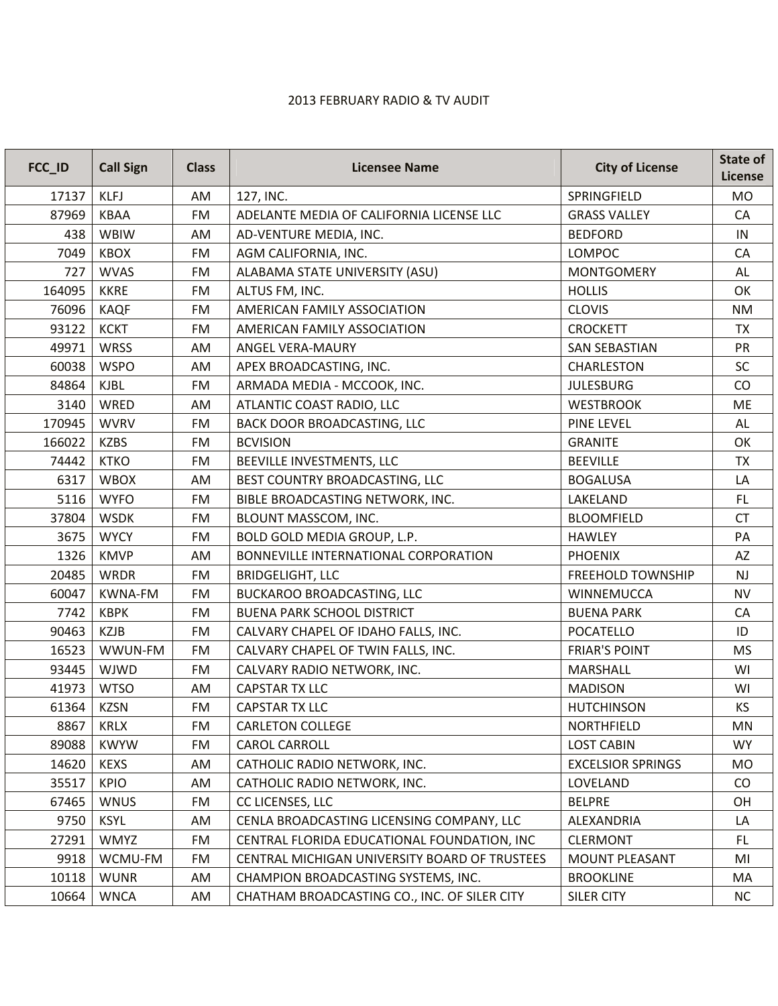## 2013 FEBRUARY RADIO & TV AUDIT

| FCC_ID | <b>Call Sign</b> | <b>Class</b> | <b>Licensee Name</b>                          | <b>City of License</b>   | State of<br>License |
|--------|------------------|--------------|-----------------------------------------------|--------------------------|---------------------|
| 17137  | <b>KLFJ</b>      | AM           | 127, INC.                                     | SPRINGFIELD              | <b>MO</b>           |
| 87969  | KBAA             | FM           | ADELANTE MEDIA OF CALIFORNIA LICENSE LLC      | <b>GRASS VALLEY</b>      | CA                  |
| 438    | <b>WBIW</b>      | AM           | AD-VENTURE MEDIA, INC.                        | <b>BEDFORD</b>           | IN                  |
| 7049   | <b>KBOX</b>      | FM           | AGM CALIFORNIA, INC.                          | LOMPOC                   | CA                  |
| 727    | <b>WVAS</b>      | FM           | ALABAMA STATE UNIVERSITY (ASU)                | <b>MONTGOMERY</b>        | AL                  |
| 164095 | <b>KKRE</b>      | FM           | ALTUS FM, INC.                                | <b>HOLLIS</b>            | OK                  |
| 76096  | <b>KAQF</b>      | FM           | AMERICAN FAMILY ASSOCIATION                   | <b>CLOVIS</b>            | <b>NM</b>           |
| 93122  | <b>KCKT</b>      | <b>FM</b>    | AMERICAN FAMILY ASSOCIATION                   | <b>CROCKETT</b>          | <b>TX</b>           |
| 49971  | <b>WRSS</b>      | AM           | ANGEL VERA-MAURY                              | <b>SAN SEBASTIAN</b>     | PR                  |
| 60038  | <b>WSPO</b>      | AM           | APEX BROADCASTING, INC.                       | <b>CHARLESTON</b>        | SC                  |
| 84864  | <b>KJBL</b>      | FM           | ARMADA MEDIA - MCCOOK, INC.                   | <b>JULESBURG</b>         | CO                  |
| 3140   | WRED             | AM           | ATLANTIC COAST RADIO, LLC                     | <b>WESTBROOK</b>         | ME                  |
| 170945 | <b>WVRV</b>      | FM           | BACK DOOR BROADCASTING, LLC                   | <b>PINE LEVEL</b>        | AL                  |
| 166022 | <b>KZBS</b>      | <b>FM</b>    | <b>BCVISION</b>                               | <b>GRANITE</b>           | OK                  |
| 74442  | <b>KTKO</b>      | FM           | BEEVILLE INVESTMENTS, LLC                     | <b>BEEVILLE</b>          | <b>TX</b>           |
| 6317   | <b>WBOX</b>      | AM           | BEST COUNTRY BROADCASTING, LLC                | <b>BOGALUSA</b>          | LA                  |
| 5116   | <b>WYFO</b>      | FM           | BIBLE BROADCASTING NETWORK, INC.              | LAKELAND                 | FL                  |
| 37804  | <b>WSDK</b>      | <b>FM</b>    | BLOUNT MASSCOM, INC.                          | <b>BLOOMFIELD</b>        | <b>CT</b>           |
| 3675   | <b>WYCY</b>      | FM           | BOLD GOLD MEDIA GROUP, L.P.                   | <b>HAWLEY</b>            | PA                  |
| 1326   | <b>KMVP</b>      | AM           | BONNEVILLE INTERNATIONAL CORPORATION          | <b>PHOENIX</b>           | AZ                  |
| 20485  | <b>WRDR</b>      | FM           | <b>BRIDGELIGHT, LLC</b>                       | <b>FREEHOLD TOWNSHIP</b> | NJ                  |
| 60047  | <b>KWNA-FM</b>   | FM           | <b>BUCKAROO BROADCASTING, LLC</b>             | WINNEMUCCA               | <b>NV</b>           |
| 7742   | <b>KBPK</b>      | FM           | <b>BUENA PARK SCHOOL DISTRICT</b>             | <b>BUENA PARK</b>        | CA                  |
| 90463  | <b>KZJB</b>      | FM           | CALVARY CHAPEL OF IDAHO FALLS, INC.           | <b>POCATELLO</b>         | ID                  |
| 16523  | WWUN-FM          | FM           | CALVARY CHAPEL OF TWIN FALLS, INC.            | <b>FRIAR'S POINT</b>     | <b>MS</b>           |
| 93445  | <b>WJWD</b>      | FM           | CALVARY RADIO NETWORK, INC.                   | <b>MARSHALL</b>          | WI                  |
| 41973  | <b>WTSO</b>      | AM           | <b>CAPSTAR TX LLC</b>                         | <b>MADISON</b>           | WI                  |
| 61364  | <b>KZSN</b>      | FM           | <b>CAPSTAR TX LLC</b>                         | <b>HUTCHINSON</b>        | KS                  |
| 8867   | <b>KRLX</b>      | FM           | <b>CARLETON COLLEGE</b>                       | <b>NORTHFIELD</b>        | MN                  |
| 89088  | <b>KWYW</b>      | FM           | <b>CAROL CARROLL</b>                          | <b>LOST CABIN</b>        | <b>WY</b>           |
| 14620  | <b>KEXS</b>      | AM           | CATHOLIC RADIO NETWORK, INC.                  | <b>EXCELSIOR SPRINGS</b> | <b>MO</b>           |
| 35517  | <b>KPIO</b>      | AM           | CATHOLIC RADIO NETWORK, INC.                  | LOVELAND                 | $\rm CO$            |
| 67465  | <b>WNUS</b>      | FM           | CC LICENSES, LLC                              | <b>BELPRE</b>            | OH                  |
| 9750   | <b>KSYL</b>      | AM           | CENLA BROADCASTING LICENSING COMPANY, LLC     | ALEXANDRIA               | LA                  |
| 27291  | WMYZ             | FM           | CENTRAL FLORIDA EDUCATIONAL FOUNDATION, INC   | <b>CLERMONT</b>          | FL                  |
| 9918   | WCMU-FM          | FM           | CENTRAL MICHIGAN UNIVERSITY BOARD OF TRUSTEES | <b>MOUNT PLEASANT</b>    | MI                  |
| 10118  | <b>WUNR</b>      | AM           | CHAMPION BROADCASTING SYSTEMS, INC.           | <b>BROOKLINE</b>         | MA                  |
| 10664  | <b>WNCA</b>      | AM           | CHATHAM BROADCASTING CO., INC. OF SILER CITY  | <b>SILER CITY</b>        | <b>NC</b>           |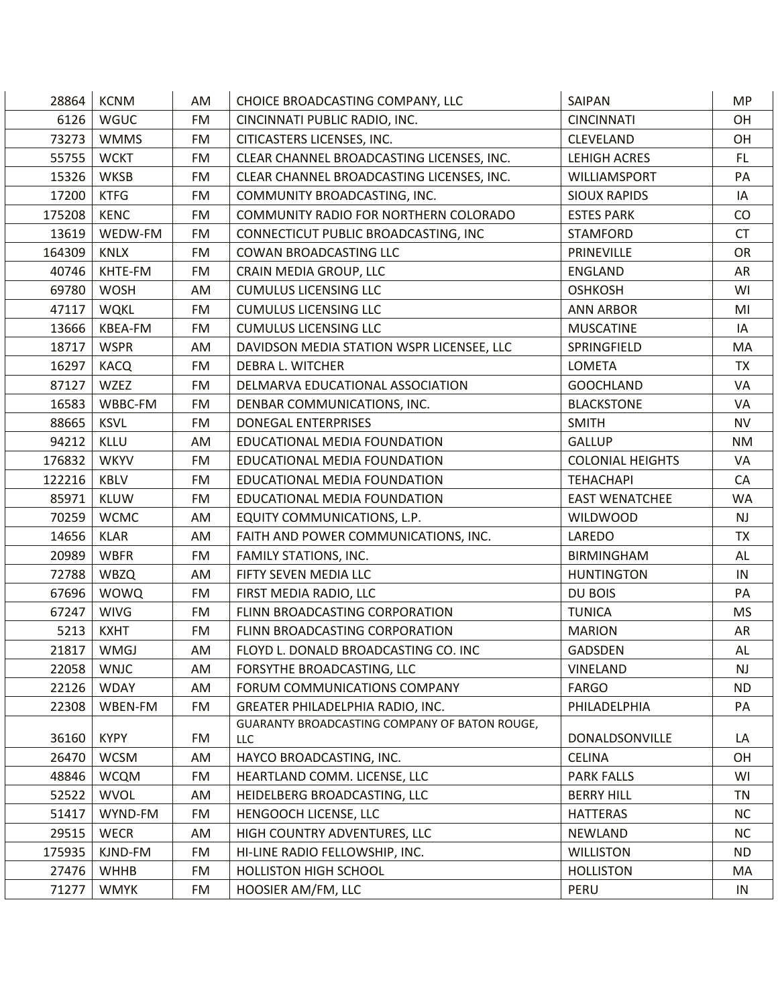| 28864  | <b>KCNM</b> | AM        | CHOICE BROADCASTING COMPANY, LLC              | SAIPAN                  | <b>MP</b> |
|--------|-------------|-----------|-----------------------------------------------|-------------------------|-----------|
| 6126   | <b>WGUC</b> | <b>FM</b> | CINCINNATI PUBLIC RADIO, INC.                 | <b>CINCINNATI</b>       | OH        |
| 73273  | <b>WMMS</b> | FM        | CITICASTERS LICENSES, INC.                    | <b>CLEVELAND</b>        | OH        |
| 55755  | <b>WCKT</b> | FM        | CLEAR CHANNEL BROADCASTING LICENSES, INC.     | <b>LEHIGH ACRES</b>     | FL.       |
| 15326  | <b>WKSB</b> | FM        | CLEAR CHANNEL BROADCASTING LICENSES, INC.     | <b>WILLIAMSPORT</b>     | PA        |
| 17200  | <b>KTFG</b> | FM        | COMMUNITY BROADCASTING, INC.                  | <b>SIOUX RAPIDS</b>     | IA        |
| 175208 | <b>KENC</b> | FM        | COMMUNITY RADIO FOR NORTHERN COLORADO         | <b>ESTES PARK</b>       | CO        |
| 13619  | WEDW-FM     | <b>FM</b> | CONNECTICUT PUBLIC BROADCASTING, INC          | <b>STAMFORD</b>         | <b>CT</b> |
| 164309 | <b>KNLX</b> | FM        | COWAN BROADCASTING LLC                        | PRINEVILLE              | OR        |
| 40746  | KHTE-FM     | <b>FM</b> | CRAIN MEDIA GROUP, LLC                        | <b>ENGLAND</b>          | AR        |
| 69780  | <b>WOSH</b> | AM        | <b>CUMULUS LICENSING LLC</b>                  | <b>OSHKOSH</b>          | WI        |
| 47117  | <b>WQKL</b> | FM        | <b>CUMULUS LICENSING LLC</b>                  | <b>ANN ARBOR</b>        | MI        |
| 13666  | KBEA-FM     | FM        | <b>CUMULUS LICENSING LLC</b>                  | <b>MUSCATINE</b>        | IA        |
| 18717  | <b>WSPR</b> | AM        | DAVIDSON MEDIA STATION WSPR LICENSEE, LLC     | SPRINGFIELD             | MA        |
| 16297  | <b>KACQ</b> | FM        | DEBRA L. WITCHER                              | <b>LOMETA</b>           | <b>TX</b> |
| 87127  | <b>WZEZ</b> | FM        | DELMARVA EDUCATIONAL ASSOCIATION              | <b>GOOCHLAND</b>        | VA        |
| 16583  | WBBC-FM     | FM        | DENBAR COMMUNICATIONS, INC.                   | <b>BLACKSTONE</b>       | VA        |
| 88665  | <b>KSVL</b> | FM        | <b>DONEGAL ENTERPRISES</b>                    | <b>SMITH</b>            | <b>NV</b> |
| 94212  | KLLU        | AM        | EDUCATIONAL MEDIA FOUNDATION                  | <b>GALLUP</b>           | <b>NM</b> |
| 176832 | <b>WKYV</b> | FM        | EDUCATIONAL MEDIA FOUNDATION                  | <b>COLONIAL HEIGHTS</b> | VA        |
| 122216 | <b>KBLV</b> | FM        | EDUCATIONAL MEDIA FOUNDATION                  | <b>TEHACHAPI</b>        | CA        |
| 85971  | KLUW        | FM        | EDUCATIONAL MEDIA FOUNDATION                  | <b>EAST WENATCHEE</b>   | <b>WA</b> |
| 70259  | <b>WCMC</b> | AM        | EQUITY COMMUNICATIONS, L.P.                   | <b>WILDWOOD</b>         | <b>NJ</b> |
| 14656  | <b>KLAR</b> | AM        | FAITH AND POWER COMMUNICATIONS, INC.          | LAREDO                  | TX        |
| 20989  | <b>WBFR</b> | FM        | <b>FAMILY STATIONS, INC.</b>                  | <b>BIRMINGHAM</b>       | AL        |
| 72788  | <b>WBZQ</b> | AM        | FIFTY SEVEN MEDIA LLC                         | <b>HUNTINGTON</b>       | IN        |
| 67696  | <b>WOWQ</b> | FM        | FIRST MEDIA RADIO, LLC                        | DU BOIS                 | PA        |
| 67247  | <b>WIVG</b> | FM        | FLINN BROADCASTING CORPORATION                | <b>TUNICA</b>           | <b>MS</b> |
| 5213   | <b>KXHT</b> | FM        | FLINN BROADCASTING CORPORATION                | <b>MARION</b>           | AR        |
| 21817  | <b>WMGJ</b> | AM        | FLOYD L. DONALD BROADCASTING CO. INC          | <b>GADSDEN</b>          | AL        |
| 22058  | <b>WNJC</b> | AM        | FORSYTHE BROADCASTING, LLC                    | <b>VINELAND</b>         | <b>NJ</b> |
| 22126  | <b>WDAY</b> | AM        | FORUM COMMUNICATIONS COMPANY                  | <b>FARGO</b>            | ND        |
| 22308  | WBEN-FM     | FM        | <b>GREATER PHILADELPHIA RADIO, INC.</b>       | PHILADELPHIA            | PA        |
|        |             |           | GUARANTY BROADCASTING COMPANY OF BATON ROUGE, |                         |           |
| 36160  | <b>KYPY</b> | FM        | LLC                                           | DONALDSONVILLE          | LA        |
| 26470  | <b>WCSM</b> | AM        | HAYCO BROADCASTING, INC.                      | <b>CELINA</b>           | 0H        |
| 48846  | <b>WCQM</b> | FM        | HEARTLAND COMM. LICENSE, LLC                  | <b>PARK FALLS</b>       | WI        |
| 52522  | <b>WVOL</b> | AM        | HEIDELBERG BROADCASTING, LLC                  | <b>BERRY HILL</b>       | TN        |
| 51417  | WYND-FM     | FM        | HENGOOCH LICENSE, LLC                         | <b>HATTERAS</b>         | <b>NC</b> |
| 29515  | <b>WECR</b> | AM        | HIGH COUNTRY ADVENTURES, LLC                  | NEWLAND                 | <b>NC</b> |
| 175935 | KJND-FM     | FM        | HI-LINE RADIO FELLOWSHIP, INC.                | <b>WILLISTON</b>        | <b>ND</b> |
| 27476  | <b>WHHB</b> | FM        | <b>HOLLISTON HIGH SCHOOL</b>                  | <b>HOLLISTON</b>        | MA        |
| 71277  | <b>WMYK</b> | FM        | HOOSIER AM/FM, LLC                            | PERU                    | IN        |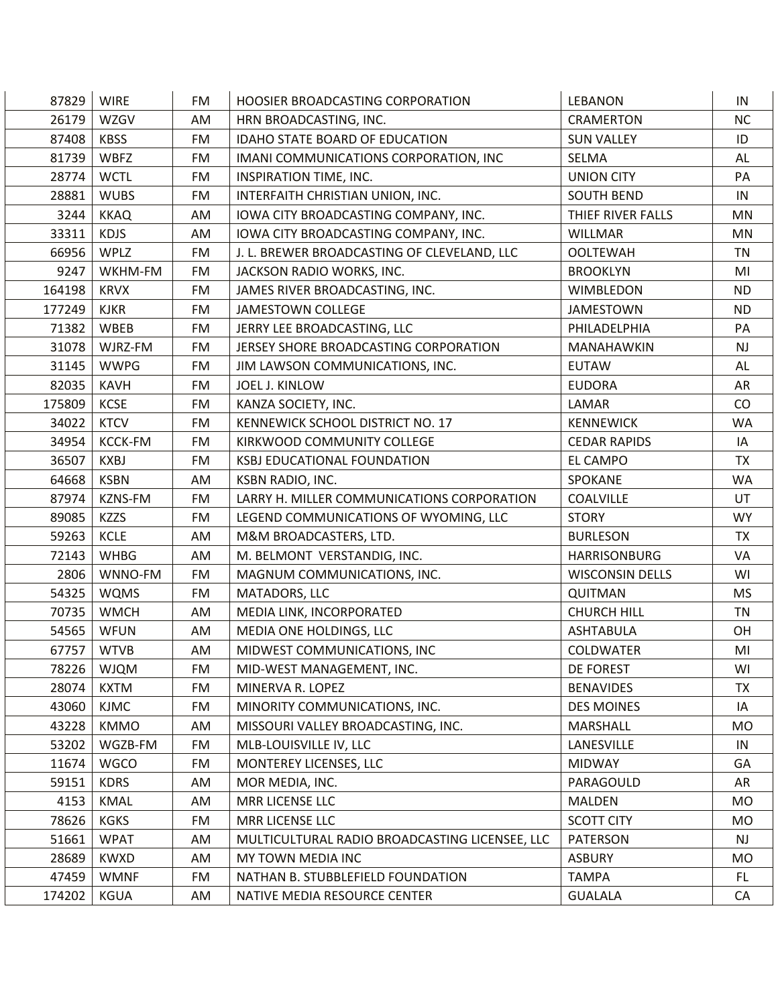| 87829  | <b>WIRE</b>    | FM        | HOOSIER BROADCASTING CORPORATION               | LEBANON                | IN         |
|--------|----------------|-----------|------------------------------------------------|------------------------|------------|
| 26179  | WZGV           | AM        | HRN BROADCASTING, INC.                         | <b>CRAMERTON</b>       | <b>NC</b>  |
| 87408  | <b>KBSS</b>    | FM        | IDAHO STATE BOARD OF EDUCATION                 | <b>SUN VALLEY</b>      | ID         |
| 81739  | <b>WBFZ</b>    | <b>FM</b> | IMANI COMMUNICATIONS CORPORATION, INC          | <b>SELMA</b>           | <b>AL</b>  |
| 28774  | <b>WCTL</b>    | FM        | INSPIRATION TIME, INC.                         | <b>UNION CITY</b>      | PA         |
| 28881  | <b>WUBS</b>    | <b>FM</b> | INTERFAITH CHRISTIAN UNION, INC.               | <b>SOUTH BEND</b>      | IN         |
| 3244   | <b>KKAQ</b>    | AM        | IOWA CITY BROADCASTING COMPANY, INC.           | THIEF RIVER FALLS      | <b>MN</b>  |
| 33311  | <b>KDJS</b>    | AM        | IOWA CITY BROADCASTING COMPANY, INC.           | <b>WILLMAR</b>         | <b>MN</b>  |
| 66956  | <b>WPLZ</b>    | <b>FM</b> | J. L. BREWER BROADCASTING OF CLEVELAND, LLC    | <b>OOLTEWAH</b>        | <b>TN</b>  |
| 9247   | WKHM-FM        | FM        | JACKSON RADIO WORKS, INC.                      | <b>BROOKLYN</b>        | MI         |
| 164198 | <b>KRVX</b>    | FM        | JAMES RIVER BROADCASTING, INC.                 | <b>WIMBLEDON</b>       | <b>ND</b>  |
| 177249 | <b>KJKR</b>    | <b>FM</b> | <b>JAMESTOWN COLLEGE</b>                       | <b>JAMESTOWN</b>       | <b>ND</b>  |
| 71382  | WBEB           | FM        | JERRY LEE BROADCASTING, LLC                    | PHILADELPHIA           | PA         |
| 31078  | WJRZ-FM        | <b>FM</b> | JERSEY SHORE BROADCASTING CORPORATION          | MANAHAWKIN             | NJ         |
| 31145  | <b>WWPG</b>    | FM        | JIM LAWSON COMMUNICATIONS, INC.                | <b>EUTAW</b>           | AL         |
| 82035  | <b>KAVH</b>    | FM        | <b>JOEL J. KINLOW</b>                          | <b>EUDORA</b>          | AR         |
| 175809 | KCSE           | FM        | KANZA SOCIETY, INC.                            | LAMAR                  | CO         |
| 34022  | <b>KTCV</b>    | FM        | KENNEWICK SCHOOL DISTRICT NO. 17               | <b>KENNEWICK</b>       | <b>WA</b>  |
| 34954  | <b>KCCK-FM</b> | FM        | KIRKWOOD COMMUNITY COLLEGE                     | <b>CEDAR RAPIDS</b>    | IA         |
| 36507  | <b>KXBJ</b>    | FM        | <b>KSBJ EDUCATIONAL FOUNDATION</b>             | <b>EL CAMPO</b>        | <b>TX</b>  |
| 64668  | <b>KSBN</b>    | AM        | KSBN RADIO, INC.                               | SPOKANE                | <b>WA</b>  |
| 87974  | KZNS-FM        | FM        | LARRY H. MILLER COMMUNICATIONS CORPORATION     | <b>COALVILLE</b>       | UT         |
| 89085  | <b>KZZS</b>    | FM        | LEGEND COMMUNICATIONS OF WYOMING, LLC          | <b>STORY</b>           | <b>WY</b>  |
| 59263  | <b>KCLE</b>    | AM        | M&M BROADCASTERS, LTD.                         | <b>BURLESON</b>        | <b>TX</b>  |
| 72143  | <b>WHBG</b>    | AM        | M. BELMONT VERSTANDIG, INC.                    | <b>HARRISONBURG</b>    | VA         |
| 2806   | WNNO-FM        | FM        | MAGNUM COMMUNICATIONS, INC.                    | <b>WISCONSIN DELLS</b> | WI         |
| 54325  | <b>WQMS</b>    | FM        | MATADORS, LLC                                  | <b>QUITMAN</b>         | <b>MS</b>  |
| 70735  | <b>WMCH</b>    | AM        | MEDIA LINK, INCORPORATED                       | <b>CHURCH HILL</b>     | <b>TN</b>  |
| 54565  | <b>WFUN</b>    | AM        | MEDIA ONE HOLDINGS, LLC                        | <b>ASHTABULA</b>       | OH         |
| 67757  | <b>WTVB</b>    | AM        | MIDWEST COMMUNICATIONS, INC                    | <b>COLDWATER</b>       | MI         |
| 78226  | <b>WJQM</b>    | FM        | MID-WEST MANAGEMENT, INC.                      | DE FOREST              | WI         |
| 28074  | <b>KXTM</b>    | FM        | MINERVA R. LOPEZ                               | <b>BENAVIDES</b>       | ТX         |
| 43060  | <b>KJMC</b>    | FM        | MINORITY COMMUNICATIONS, INC.                  | <b>DES MOINES</b>      | IA         |
| 43228  | <b>KMMO</b>    | AM        | MISSOURI VALLEY BROADCASTING, INC.             | MARSHALL               | <b>MO</b>  |
| 53202  | WGZB-FM        | FM        | MLB-LOUISVILLE IV, LLC                         | LANESVILLE             | IN         |
| 11674  | <b>WGCO</b>    | FM        | MONTEREY LICENSES, LLC                         | <b>MIDWAY</b>          | GA         |
| 59151  | <b>KDRS</b>    | AM        | MOR MEDIA, INC.                                | PARAGOULD              | AR         |
| 4153   | KMAL           | AM        | MRR LICENSE LLC                                | <b>MALDEN</b>          | <b>MO</b>  |
| 78626  | <b>KGKS</b>    | FM        | MRR LICENSE LLC                                | <b>SCOTT CITY</b>      | <b>MO</b>  |
| 51661  | <b>WPAT</b>    | AM        | MULTICULTURAL RADIO BROADCASTING LICENSEE, LLC | PATERSON               | <b>NJ</b>  |
| 28689  | <b>KWXD</b>    | AM        | MY TOWN MEDIA INC                              | <b>ASBURY</b>          | <b>MO</b>  |
| 47459  | <b>WMNF</b>    | FM        | NATHAN B. STUBBLEFIELD FOUNDATION              | <b>TAMPA</b>           | FL.        |
| 174202 | <b>KGUA</b>    | AM        | NATIVE MEDIA RESOURCE CENTER                   | <b>GUALALA</b>         | ${\sf CA}$ |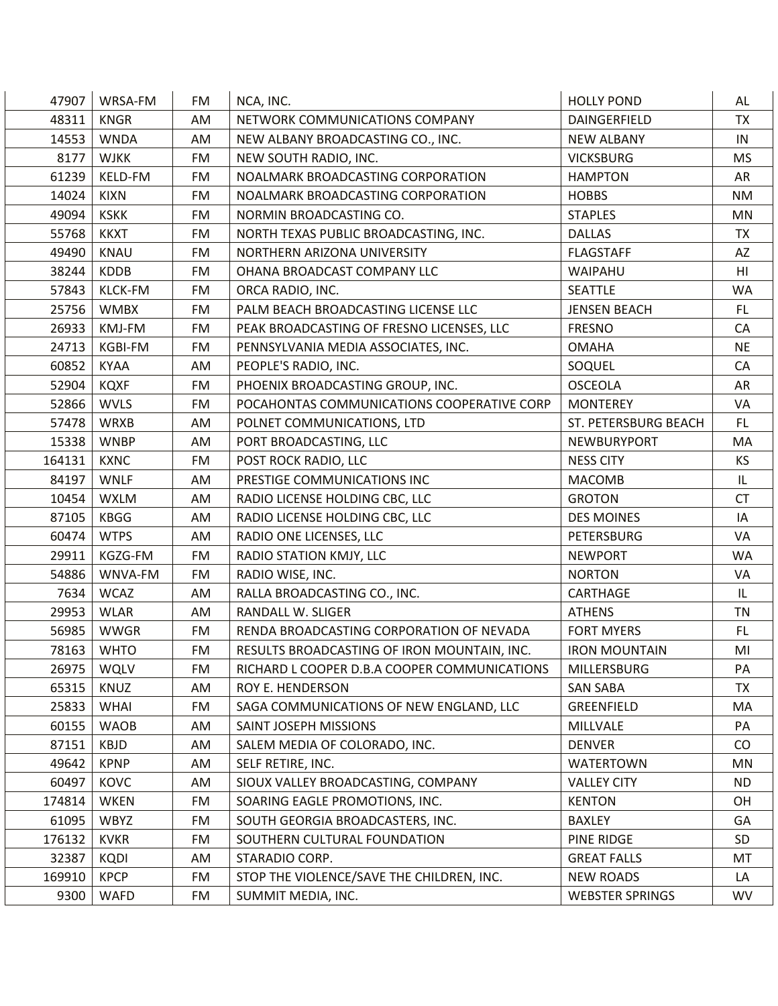| 47907  | WRSA-FM        | FM        | NCA, INC.                                    | <b>HOLLY POND</b>      | AL             |
|--------|----------------|-----------|----------------------------------------------|------------------------|----------------|
| 48311  | <b>KNGR</b>    | AM        | NETWORK COMMUNICATIONS COMPANY               | DAINGERFIELD           | <b>TX</b>      |
| 14553  | <b>WNDA</b>    | AM        | NEW ALBANY BROADCASTING CO., INC.            | <b>NEW ALBANY</b>      | IN             |
| 8177   | <b>WJKK</b>    | <b>FM</b> | NEW SOUTH RADIO, INC.                        | <b>VICKSBURG</b>       | <b>MS</b>      |
| 61239  | KELD-FM        | <b>FM</b> | NOALMARK BROADCASTING CORPORATION            | <b>HAMPTON</b>         | AR             |
| 14024  | <b>KIXN</b>    | <b>FM</b> | NOALMARK BROADCASTING CORPORATION            | <b>HOBBS</b>           | <b>NM</b>      |
| 49094  | <b>KSKK</b>    | FM        | NORMIN BROADCASTING CO.                      | <b>STAPLES</b>         | MN             |
| 55768  | <b>KKXT</b>    | <b>FM</b> | NORTH TEXAS PUBLIC BROADCASTING, INC.        | <b>DALLAS</b>          | <b>TX</b>      |
| 49490  | KNAU           | FM        | NORTHERN ARIZONA UNIVERSITY                  | <b>FLAGSTAFF</b>       | AZ             |
| 38244  | <b>KDDB</b>    | <b>FM</b> | OHANA BROADCAST COMPANY LLC                  | WAIPAHU                | H <sub>l</sub> |
| 57843  | <b>KLCK-FM</b> | FM        | ORCA RADIO, INC.                             | <b>SEATTLE</b>         | <b>WA</b>      |
| 25756  | <b>WMBX</b>    | FM        | PALM BEACH BROADCASTING LICENSE LLC          | <b>JENSEN BEACH</b>    | FL.            |
| 26933  | KMJ-FM         | FM        | PEAK BROADCASTING OF FRESNO LICENSES, LLC    | <b>FRESNO</b>          | CA             |
| 24713  | KGBI-FM        | <b>FM</b> | PENNSYLVANIA MEDIA ASSOCIATES, INC.          | <b>OMAHA</b>           | <b>NE</b>      |
| 60852  | <b>KYAA</b>    | AM        | PEOPLE'S RADIO, INC.                         | SOQUEL                 | CA             |
| 52904  | <b>KQXF</b>    | FM        | PHOENIX BROADCASTING GROUP, INC.             | <b>OSCEOLA</b>         | AR             |
| 52866  | <b>WVLS</b>    | FM        | POCAHONTAS COMMUNICATIONS COOPERATIVE CORP   | <b>MONTEREY</b>        | VA             |
| 57478  | WRXB           | AM        | POLNET COMMUNICATIONS, LTD                   | ST. PETERSBURG BEACH   | FL.            |
| 15338  | <b>WNBP</b>    | AM        | PORT BROADCASTING, LLC                       | NEWBURYPORT            | MA             |
| 164131 | <b>KXNC</b>    | FM        | POST ROCK RADIO, LLC                         | <b>NESS CITY</b>       | KS             |
| 84197  | <b>WNLF</b>    | AM        | PRESTIGE COMMUNICATIONS INC                  | <b>MACOMB</b>          | IL             |
| 10454  | <b>WXLM</b>    | AM        | RADIO LICENSE HOLDING CBC, LLC               | <b>GROTON</b>          | <b>CT</b>      |
| 87105  | <b>KBGG</b>    | AM        | RADIO LICENSE HOLDING CBC, LLC               | <b>DES MOINES</b>      | IA             |
| 60474  | <b>WTPS</b>    | AM        | RADIO ONE LICENSES, LLC                      | <b>PETERSBURG</b>      | VA             |
| 29911  | KGZG-FM        | FM        | RADIO STATION KMJY, LLC                      | <b>NEWPORT</b>         | <b>WA</b>      |
| 54886  | WNVA-FM        | FM        | RADIO WISE, INC.                             | <b>NORTON</b>          | VA             |
| 7634   | <b>WCAZ</b>    | AM        | RALLA BROADCASTING CO., INC.                 | CARTHAGE               | IL             |
| 29953  | <b>WLAR</b>    | AM        | <b>RANDALL W. SLIGER</b>                     | <b>ATHENS</b>          | <b>TN</b>      |
| 56985  | <b>WWGR</b>    | FM        | RENDA BROADCASTING CORPORATION OF NEVADA     | <b>FORT MYERS</b>      | FL.            |
| 78163  | <b>WHTO</b>    | FM        | RESULTS BROADCASTING OF IRON MOUNTAIN, INC.  | <b>IRON MOUNTAIN</b>   | MI             |
| 26975  | WQLV           | <b>FM</b> | RICHARD L COOPER D.B.A COOPER COMMUNICATIONS | <b>MILLERSBURG</b>     | PA             |
| 65315  | <b>KNUZ</b>    | AM        | ROY E. HENDERSON                             | <b>SAN SABA</b>        | <b>TX</b>      |
| 25833  | <b>WHAI</b>    | FM        | SAGA COMMUNICATIONS OF NEW ENGLAND, LLC      | GREENFIELD             | MA             |
| 60155  | <b>WAOB</b>    | AM        | SAINT JOSEPH MISSIONS                        | <b>MILLVALE</b>        | PA             |
| 87151  | <b>KBJD</b>    | AM        | SALEM MEDIA OF COLORADO, INC.                | <b>DENVER</b>          | CO             |
| 49642  | <b>KPNP</b>    | AM        | SELF RETIRE, INC.                            | <b>WATERTOWN</b>       | MN             |
| 60497  | KOVC           | AM        | SIOUX VALLEY BROADCASTING, COMPANY           | <b>VALLEY CITY</b>     | <b>ND</b>      |
| 174814 | <b>WKEN</b>    | FM        | SOARING EAGLE PROMOTIONS, INC.               | <b>KENTON</b>          | OH             |
| 61095  | <b>WBYZ</b>    | FM        | SOUTH GEORGIA BROADCASTERS, INC.             | <b>BAXLEY</b>          | GA             |
| 176132 | <b>KVKR</b>    | FM        | SOUTHERN CULTURAL FOUNDATION                 | PINE RIDGE             | <b>SD</b>      |
| 32387  | <b>KQDI</b>    | AM        | STARADIO CORP.                               | <b>GREAT FALLS</b>     | MT             |
| 169910 | <b>KPCP</b>    | FM        | STOP THE VIOLENCE/SAVE THE CHILDREN, INC.    | <b>NEW ROADS</b>       | LA             |
| 9300   | WAFD           | FM        | SUMMIT MEDIA, INC.                           | <b>WEBSTER SPRINGS</b> | WV             |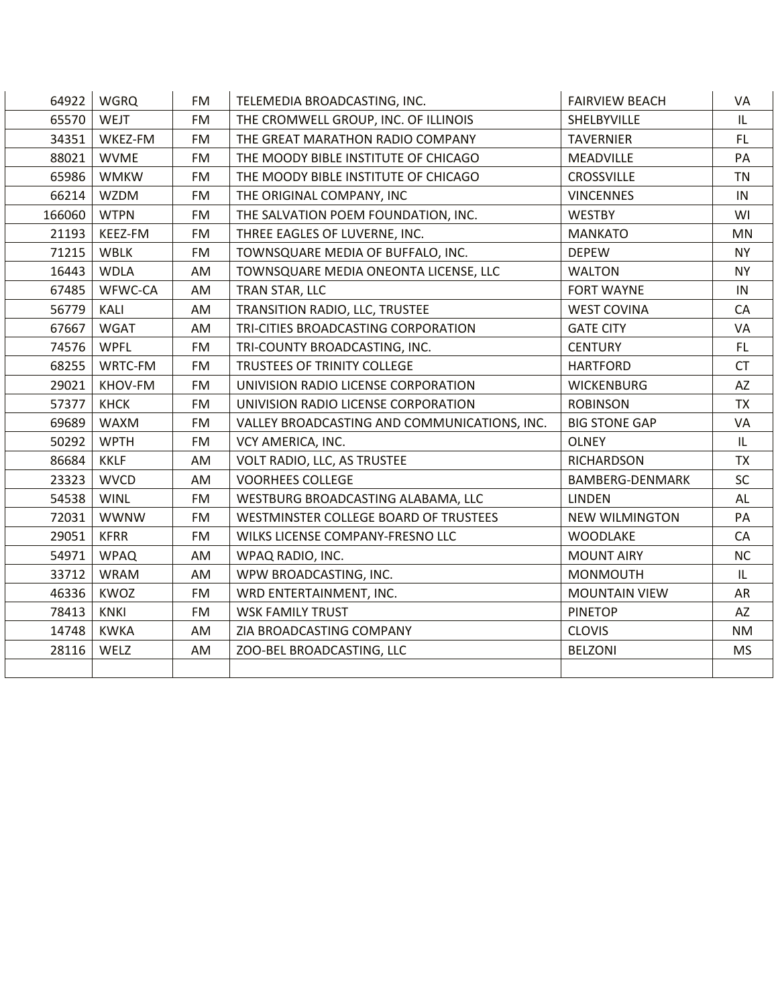| 64922  | <b>WGRQ</b> | <b>FM</b> | TELEMEDIA BROADCASTING, INC.                 | <b>FAIRVIEW BEACH</b>  | VA        |
|--------|-------------|-----------|----------------------------------------------|------------------------|-----------|
| 65570  | <b>WEJT</b> | <b>FM</b> | THE CROMWELL GROUP, INC. OF ILLINOIS         | SHELBYVILLE            | IL        |
| 34351  | WKEZ-FM     | <b>FM</b> | THE GREAT MARATHON RADIO COMPANY             | <b>TAVERNIER</b>       | FL        |
| 88021  | <b>WVME</b> | <b>FM</b> | THE MOODY BIBLE INSTITUTE OF CHICAGO         | <b>MEADVILLE</b>       | PA        |
| 65986  | <b>WMKW</b> | <b>FM</b> | THE MOODY BIBLE INSTITUTE OF CHICAGO         | <b>CROSSVILLE</b>      | <b>TN</b> |
| 66214  | <b>WZDM</b> | <b>FM</b> | THE ORIGINAL COMPANY, INC                    | <b>VINCENNES</b>       | IN        |
| 166060 | <b>WTPN</b> | <b>FM</b> | THE SALVATION POEM FOUNDATION, INC.          | <b>WESTBY</b>          | WI        |
| 21193  | KEEZ-FM     | <b>FM</b> | THREE EAGLES OF LUVERNE, INC.                | <b>MANKATO</b>         | <b>MN</b> |
| 71215  | <b>WBLK</b> | <b>FM</b> | TOWNSQUARE MEDIA OF BUFFALO, INC.            | <b>DEPEW</b>           | <b>NY</b> |
| 16443  | <b>WDLA</b> | AM        | TOWNSQUARE MEDIA ONEONTA LICENSE, LLC        | <b>WALTON</b>          | <b>NY</b> |
| 67485  | WFWC-CA     | AM        | TRAN STAR, LLC                               | <b>FORT WAYNE</b>      | IN        |
| 56779  | KALI        | AM        | TRANSITION RADIO, LLC, TRUSTEE               | <b>WEST COVINA</b>     | CA        |
| 67667  | <b>WGAT</b> | AM        | TRI-CITIES BROADCASTING CORPORATION          | <b>GATE CITY</b>       | VA        |
| 74576  | <b>WPFL</b> | <b>FM</b> | TRI-COUNTY BROADCASTING, INC.                | <b>CENTURY</b>         | <b>FL</b> |
| 68255  | WRTC-FM     | <b>FM</b> | TRUSTEES OF TRINITY COLLEGE                  | <b>HARTFORD</b>        | <b>CT</b> |
| 29021  | KHOV-FM     | <b>FM</b> | UNIVISION RADIO LICENSE CORPORATION          | <b>WICKENBURG</b>      | AZ        |
| 57377  | <b>KHCK</b> | <b>FM</b> | UNIVISION RADIO LICENSE CORPORATION          | <b>ROBINSON</b>        | <b>TX</b> |
| 69689  | <b>WAXM</b> | <b>FM</b> | VALLEY BROADCASTING AND COMMUNICATIONS, INC. | <b>BIG STONE GAP</b>   | VA        |
| 50292  | <b>WPTH</b> | <b>FM</b> | VCY AMERICA, INC.                            | <b>OLNEY</b>           | IL        |
| 86684  | <b>KKLF</b> | AM        | VOLT RADIO, LLC, AS TRUSTEE                  | <b>RICHARDSON</b>      | <b>TX</b> |
| 23323  | <b>WVCD</b> | AM        | <b>VOORHEES COLLEGE</b>                      | <b>BAMBERG-DENMARK</b> | SC        |
| 54538  | <b>WINL</b> | <b>FM</b> | WESTBURG BROADCASTING ALABAMA, LLC           | <b>LINDEN</b>          | AL        |
| 72031  | <b>WWNW</b> | <b>FM</b> | WESTMINSTER COLLEGE BOARD OF TRUSTEES        | <b>NEW WILMINGTON</b>  | PA        |
| 29051  | <b>KFRR</b> | <b>FM</b> | WILKS LICENSE COMPANY-FRESNO LLC             | <b>WOODLAKE</b>        | CA        |
| 54971  | <b>WPAQ</b> | AM        | WPAQ RADIO, INC.                             | <b>MOUNT AIRY</b>      | <b>NC</b> |
| 33712  | <b>WRAM</b> | AM        | WPW BROADCASTING, INC.                       | <b>MONMOUTH</b>        | IL        |
| 46336  | KWOZ        | <b>FM</b> | WRD ENTERTAINMENT, INC.                      | <b>MOUNTAIN VIEW</b>   | AR        |
| 78413  | <b>KNKI</b> | <b>FM</b> | <b>WSK FAMILY TRUST</b>                      | <b>PINETOP</b>         | AZ        |
| 14748  | <b>KWKA</b> | AM        | ZIA BROADCASTING COMPANY                     | <b>CLOVIS</b>          | <b>NM</b> |
| 28116  | WELZ        | AM        | ZOO-BEL BROADCASTING, LLC                    | <b>BELZONI</b>         | <b>MS</b> |
|        |             |           |                                              |                        |           |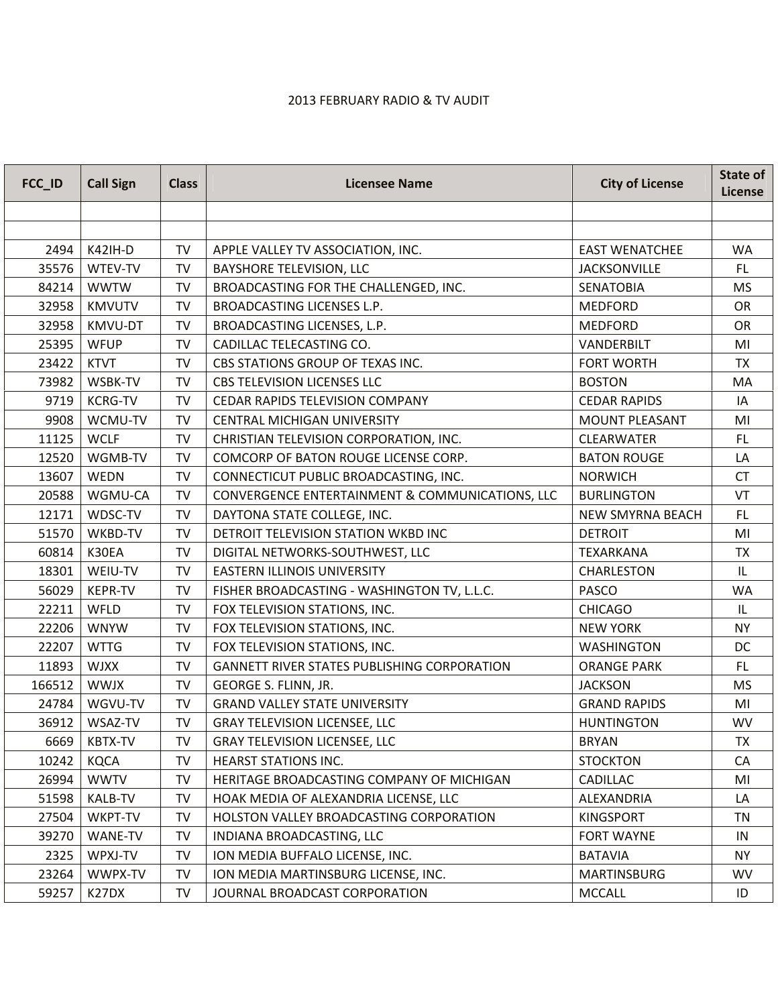## 2013 FEBRUARY RADIO & TV AUDIT

| FCC_ID | <b>Call Sign</b> | <b>Class</b> | <b>Licensee Name</b>                               | <b>City of License</b>  | State of<br>License |
|--------|------------------|--------------|----------------------------------------------------|-------------------------|---------------------|
|        |                  |              |                                                    |                         |                     |
|        |                  |              |                                                    |                         |                     |
| 2494   | <b>K42IH-D</b>   | TV           | APPLE VALLEY TV ASSOCIATION, INC.                  | <b>EAST WENATCHEE</b>   | <b>WA</b>           |
| 35576  | WTEV-TV          | <b>TV</b>    | <b>BAYSHORE TELEVISION, LLC</b>                    | <b>JACKSONVILLE</b>     | FL.                 |
| 84214  | <b>WWTW</b>      | <b>TV</b>    | BROADCASTING FOR THE CHALLENGED, INC.              | <b>SENATOBIA</b>        | MS                  |
| 32958  | <b>KMVUTV</b>    | <b>TV</b>    | BROADCASTING LICENSES L.P.                         | <b>MEDFORD</b>          | <b>OR</b>           |
| 32958  | KMVU-DT          | TV           | BROADCASTING LICENSES, L.P.                        | <b>MEDFORD</b>          | OR                  |
| 25395  | <b>WFUP</b>      | <b>TV</b>    | CADILLAC TELECASTING CO.                           | VANDERBILT              | MI                  |
| 23422  | <b>KTVT</b>      | TV           | CBS STATIONS GROUP OF TEXAS INC.                   | <b>FORT WORTH</b>       | <b>TX</b>           |
| 73982  | WSBK-TV          | <b>TV</b>    | <b>CBS TELEVISION LICENSES LLC</b>                 | <b>BOSTON</b>           | MA                  |
| 9719   | <b>KCRG-TV</b>   | TV           | CEDAR RAPIDS TELEVISION COMPANY                    | <b>CEDAR RAPIDS</b>     | IA                  |
| 9908   | WCMU-TV          | TV           | <b>CENTRAL MICHIGAN UNIVERSITY</b>                 | <b>MOUNT PLEASANT</b>   | MI                  |
| 11125  | <b>WCLF</b>      | <b>TV</b>    | CHRISTIAN TELEVISION CORPORATION, INC.             | <b>CLEARWATER</b>       | <b>FL</b>           |
| 12520  | WGMB-TV          | <b>TV</b>    | COMCORP OF BATON ROUGE LICENSE CORP.               | <b>BATON ROUGE</b>      | LA                  |
| 13607  | <b>WEDN</b>      | <b>TV</b>    | CONNECTICUT PUBLIC BROADCASTING, INC.              | <b>NORWICH</b>          | <b>CT</b>           |
| 20588  | WGMU-CA          | <b>TV</b>    | CONVERGENCE ENTERTAINMENT & COMMUNICATIONS, LLC    | <b>BURLINGTON</b>       | VT                  |
| 12171  | WDSC-TV          | <b>TV</b>    | DAYTONA STATE COLLEGE, INC.                        | <b>NEW SMYRNA BEACH</b> | FL.                 |
| 51570  | WKBD-TV          | <b>TV</b>    | DETROIT TELEVISION STATION WKBD INC                | <b>DETROIT</b>          | MI                  |
| 60814  | K30EA            | <b>TV</b>    | DIGITAL NETWORKS-SOUTHWEST, LLC                    | <b>TEXARKANA</b>        | <b>TX</b>           |
| 18301  | WEIU-TV          | <b>TV</b>    | <b>EASTERN ILLINOIS UNIVERSITY</b>                 | <b>CHARLESTON</b>       | IL                  |
| 56029  | <b>KEPR-TV</b>   | <b>TV</b>    | FISHER BROADCASTING - WASHINGTON TV, L.L.C.        | PASCO                   | <b>WA</b>           |
| 22211  | WFLD             | <b>TV</b>    | FOX TELEVISION STATIONS, INC.                      | <b>CHICAGO</b>          | IL                  |
| 22206  | <b>WNYW</b>      | <b>TV</b>    | FOX TELEVISION STATIONS, INC.                      | <b>NEW YORK</b>         | <b>NY</b>           |
| 22207  | <b>WTTG</b>      | <b>TV</b>    | FOX TELEVISION STATIONS, INC.                      | <b>WASHINGTON</b>       | DC                  |
| 11893  | <b>WJXX</b>      | <b>TV</b>    | <b>GANNETT RIVER STATES PUBLISHING CORPORATION</b> | <b>ORANGE PARK</b>      | <b>FL</b>           |
| 166512 | <b>WWJX</b>      | <b>TV</b>    | GEORGE S. FLINN, JR.                               | <b>JACKSON</b>          | MS                  |
| 24784  | WGVU-TV          | <b>TV</b>    | <b>GRAND VALLEY STATE UNIVERSITY</b>               | <b>GRAND RAPIDS</b>     | MI                  |
| 36912  | WSAZ-TV          | TV           | <b>GRAY TELEVISION LICENSEE, LLC</b>               | <b>HUNTINGTON</b>       | <b>WV</b>           |
| 6669   | <b>KBTX-TV</b>   | <b>TV</b>    | <b>GRAY TELEVISION LICENSEE, LLC</b>               | <b>BRYAN</b>            | <b>TX</b>           |
| 10242  | <b>KQCA</b>      | TV           | <b>HEARST STATIONS INC.</b>                        | <b>STOCKTON</b>         | CA                  |
| 26994  | <b>WWTV</b>      | TV           | HERITAGE BROADCASTING COMPANY OF MICHIGAN          | <b>CADILLAC</b>         | MI                  |
| 51598  | <b>KALB-TV</b>   | TV           | HOAK MEDIA OF ALEXANDRIA LICENSE, LLC              | ALEXANDRIA              | LA                  |
| 27504  | WKPT-TV          | <b>TV</b>    | HOLSTON VALLEY BROADCASTING CORPORATION            | <b>KINGSPORT</b>        | <b>TN</b>           |
| 39270  | WANE-TV          | TV           | INDIANA BROADCASTING, LLC                          | <b>FORT WAYNE</b>       | IN                  |
| 2325   | WPXJ-TV          | <b>TV</b>    | ION MEDIA BUFFALO LICENSE, INC.                    | <b>BATAVIA</b>          | <b>NY</b>           |
| 23264  | WWPX-TV          | TV           | ION MEDIA MARTINSBURG LICENSE, INC.                | <b>MARTINSBURG</b>      | <b>WV</b>           |
| 59257  | K27DX            | <b>TV</b>    | JOURNAL BROADCAST CORPORATION                      | <b>MCCALL</b>           | ID                  |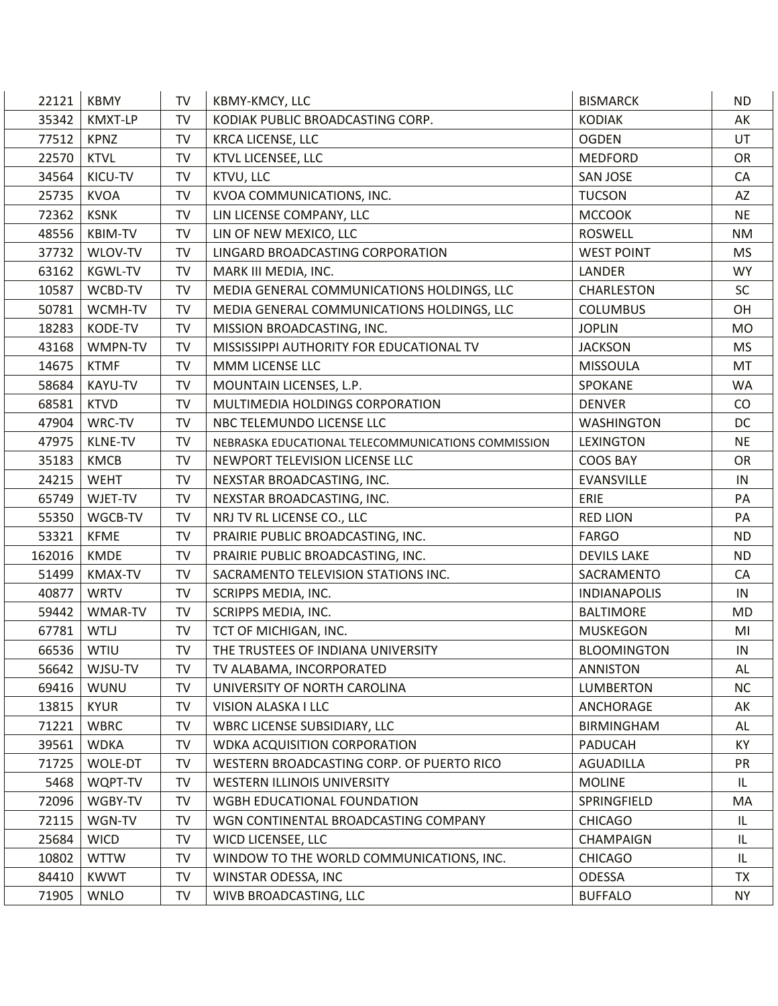| 22121  | <b>KBMY</b>    | <b>TV</b> | KBMY-KMCY, LLC                                     | <b>BISMARCK</b>     | <b>ND</b> |
|--------|----------------|-----------|----------------------------------------------------|---------------------|-----------|
| 35342  | KMXT-LP        | <b>TV</b> | KODIAK PUBLIC BROADCASTING CORP.                   | <b>KODIAK</b>       | AK        |
| 77512  | <b>KPNZ</b>    | TV        | <b>KRCA LICENSE, LLC</b>                           | <b>OGDEN</b>        | UT        |
| 22570  | <b>KTVL</b>    | <b>TV</b> | KTVL LICENSEE, LLC                                 | <b>MEDFORD</b>      | <b>OR</b> |
| 34564  | KICU-TV        | TV        | KTVU, LLC                                          | <b>SAN JOSE</b>     | CA        |
| 25735  | <b>KVOA</b>    | <b>TV</b> | KVOA COMMUNICATIONS, INC.                          | <b>TUCSON</b>       | AZ        |
| 72362  | <b>KSNK</b>    | <b>TV</b> | LIN LICENSE COMPANY, LLC                           | <b>MCCOOK</b>       | <b>NE</b> |
| 48556  | <b>KBIM-TV</b> | <b>TV</b> | LIN OF NEW MEXICO, LLC                             | <b>ROSWELL</b>      | <b>NM</b> |
| 37732  | WLOV-TV        | TV        | LINGARD BROADCASTING CORPORATION                   | <b>WEST POINT</b>   | <b>MS</b> |
| 63162  | <b>KGWL-TV</b> | <b>TV</b> | MARK III MEDIA, INC.                               | LANDER              | <b>WY</b> |
| 10587  | WCBD-TV        | <b>TV</b> | MEDIA GENERAL COMMUNICATIONS HOLDINGS, LLC         | CHARLESTON          | SC        |
| 50781  | WCMH-TV        | <b>TV</b> | MEDIA GENERAL COMMUNICATIONS HOLDINGS, LLC         | <b>COLUMBUS</b>     | OH        |
| 18283  | KODE-TV        | <b>TV</b> | MISSION BROADCASTING, INC.                         | <b>JOPLIN</b>       | <b>MO</b> |
| 43168  | WMPN-TV        | <b>TV</b> | MISSISSIPPI AUTHORITY FOR EDUCATIONAL TV           | <b>JACKSON</b>      | <b>MS</b> |
| 14675  | <b>KTMF</b>    | <b>TV</b> | MMM LICENSE LLC                                    | <b>MISSOULA</b>     | MT        |
| 58684  | <b>KAYU-TV</b> | <b>TV</b> | MOUNTAIN LICENSES, L.P.                            | SPOKANE             | <b>WA</b> |
| 68581  | <b>KTVD</b>    | <b>TV</b> | MULTIMEDIA HOLDINGS CORPORATION                    | <b>DENVER</b>       | CO        |
| 47904  | WRC-TV         | <b>TV</b> | NBC TELEMUNDO LICENSE LLC                          | <b>WASHINGTON</b>   | DC        |
| 47975  | <b>KLNE-TV</b> | <b>TV</b> | NEBRASKA EDUCATIONAL TELECOMMUNICATIONS COMMISSION | <b>LEXINGTON</b>    | <b>NE</b> |
| 35183  | <b>KMCB</b>    | <b>TV</b> | NEWPORT TELEVISION LICENSE LLC                     | <b>COOS BAY</b>     | OR        |
| 24215  | <b>WEHT</b>    | <b>TV</b> | NEXSTAR BROADCASTING, INC.                         | <b>EVANSVILLE</b>   | IN        |
| 65749  | WJET-TV        | <b>TV</b> | NEXSTAR BROADCASTING, INC.                         | ERIE                | PA        |
| 55350  | WGCB-TV        | <b>TV</b> | NRJ TV RL LICENSE CO., LLC                         | <b>RED LION</b>     | PA        |
| 53321  | <b>KFME</b>    | TV        | PRAIRIE PUBLIC BROADCASTING, INC.                  | <b>FARGO</b>        | <b>ND</b> |
| 162016 | <b>KMDE</b>    | <b>TV</b> | PRAIRIE PUBLIC BROADCASTING, INC.                  | <b>DEVILS LAKE</b>  | <b>ND</b> |
| 51499  | <b>KMAX-TV</b> | TV        | SACRAMENTO TELEVISION STATIONS INC.                | SACRAMENTO          | CA        |
| 40877  | <b>WRTV</b>    | <b>TV</b> | SCRIPPS MEDIA, INC.                                | <b>INDIANAPOLIS</b> | IN        |
| 59442  | WMAR-TV        | TV        | SCRIPPS MEDIA, INC.                                | <b>BALTIMORE</b>    | MD        |
| 67781  | <b>WTLJ</b>    | <b>TV</b> | TCT OF MICHIGAN, INC.                              | <b>MUSKEGON</b>     | MI        |
| 66536  | <b>WTIU</b>    | <b>TV</b> | THE TRUSTEES OF INDIANA UNIVERSITY                 | <b>BLOOMINGTON</b>  | IN        |
| 56642  | WJSU-TV        | TV        | TV ALABAMA, INCORPORATED                           | <b>ANNISTON</b>     | AL        |
| 69416  | <b>WUNU</b>    | TV        | UNIVERSITY OF NORTH CAROLINA                       | <b>LUMBERTON</b>    | <b>NC</b> |
| 13815  | <b>KYUR</b>    | <b>TV</b> | VISION ALASKA I LLC                                | ANCHORAGE           | AK        |
| 71221  | <b>WBRC</b>    | TV        | WBRC LICENSE SUBSIDIARY, LLC                       | <b>BIRMINGHAM</b>   | AL        |
| 39561  | <b>WDKA</b>    | <b>TV</b> | <b>WDKA ACQUISITION CORPORATION</b>                | <b>PADUCAH</b>      | KY        |
| 71725  | WOLE-DT        | TV        | WESTERN BROADCASTING CORP. OF PUERTO RICO          | <b>AGUADILLA</b>    | PR        |
| 5468   | WQPT-TV        | TV        | <b>WESTERN ILLINOIS UNIVERSITY</b>                 | <b>MOLINE</b>       | IL        |
| 72096  | WGBY-TV        | TV        | WGBH EDUCATIONAL FOUNDATION                        | SPRINGFIELD         | MA        |
| 72115  | WGN-TV         | <b>TV</b> | WGN CONTINENTAL BROADCASTING COMPANY               | <b>CHICAGO</b>      | IL        |
| 25684  | <b>WICD</b>    | TV        | WICD LICENSEE, LLC                                 | <b>CHAMPAIGN</b>    | IL        |
| 10802  | <b>WTTW</b>    | TV        | WINDOW TO THE WORLD COMMUNICATIONS, INC.           | <b>CHICAGO</b>      | IL        |
| 84410  | <b>KWWT</b>    | TV        | WINSTAR ODESSA, INC                                | <b>ODESSA</b>       | <b>TX</b> |
| 71905  | <b>WNLO</b>    | TV        | WIVB BROADCASTING, LLC                             | <b>BUFFALO</b>      | <b>NY</b> |